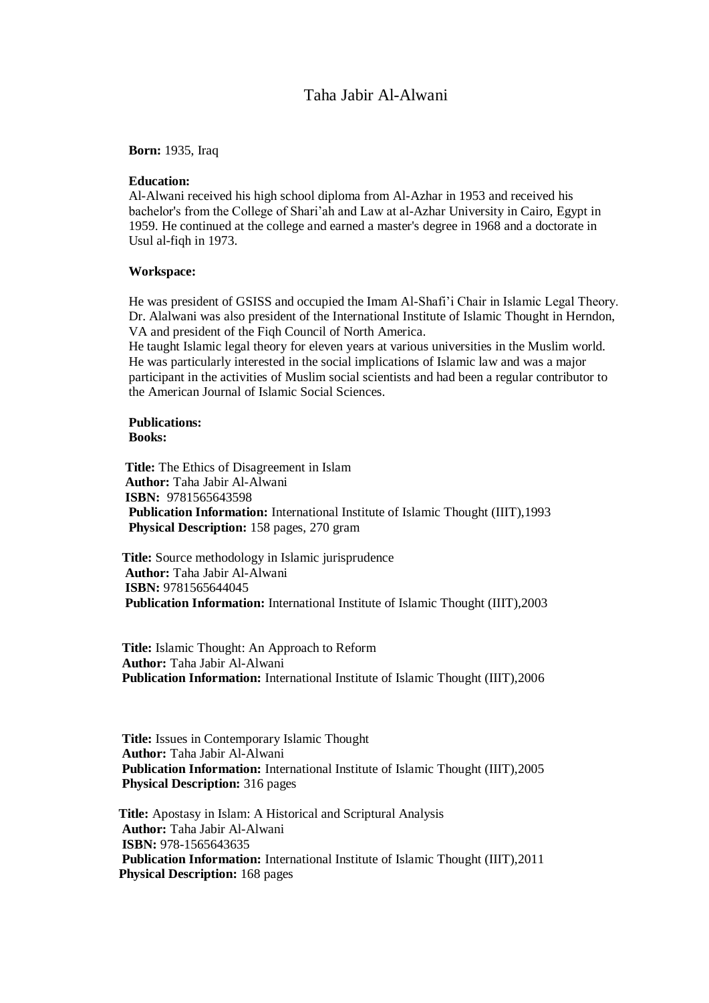# Taha Jabir Al-Alwani

**Born:** 1935, Iraq

## **Education:**

Al-Alwani received his high school diploma from Al-Azhar in 1953 and received his bachelor's from the College of Shari'ah and Law at al-Azhar University in Cairo, Egypt in 1959. He continued at the college and earned a master's degree in 1968 and a doctorate in Usul al-fiqh in 1973.

## **Workspace:**

He was president of GSISS and occupied the Imam Al-Shafi'i Chair in Islamic Legal Theory. Dr. Alalwani was also president of the International Institute of Islamic Thought in Herndon, VA and president of the Fiqh Council of North America.

He taught Islamic legal theory for eleven years at various universities in the Muslim world. He was particularly interested in the social implications of Islamic law and was a major participant in the activities of Muslim social scientists and had been a regular contributor to the American Journal of Islamic Social Sciences.

## **Publications: Books:**

 **Title:** The Ethics of Disagreement in Islam  **Author:** Taha Jabir Al-Alwani  **ISBN:** 9781565643598  **Publication Information:** International Institute of Islamic Thought (IIIT),1993  **Physical Description:** 158 pages, 270 gram

 **Title:** Source methodology in Islamic jurisprudence  **Author:** Taha Jabir Al-Alwani  **ISBN:** 9781565644045  **Publication Information:** International Institute of Islamic Thought (IIIT),2003

 **Title:** Islamic Thought: An Approach to Reform  **Author:** Taha Jabir Al-Alwani  **Publication Information:** International Institute of Islamic Thought (IIIT),2006

 **Title:** Issues in Contemporary Islamic Thought  **Author:** Taha Jabir Al-Alwani  **Publication Information:** International Institute of Islamic Thought (IIIT),2005  **Physical Description:** 316 pages

 **Title:** Apostasy in Islam: A Historical and Scriptural Analysis **Author:** Taha Jabir Al-Alwani  **ISBN:** 978-1565643635  **Publication Information:** International Institute of Islamic Thought (IIIT),2011  **Physical Description:** 168 pages